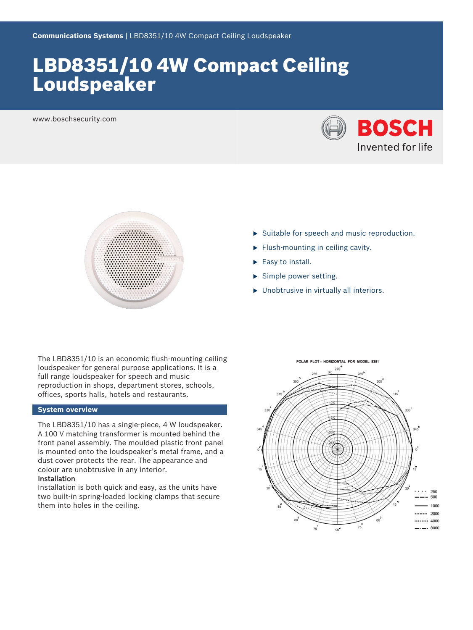# LBD8351/10 4W Compact Ceiling Loudspeaker

www.boschsecurity.com





- $\triangleright$  Suitable for speech and music reproduction.
- $\blacktriangleright$  Flush-mounting in ceiling cavity.
- $\blacktriangleright$  Easy to install.
- $\blacktriangleright$  Simple power setting.
- $\blacktriangleright$  Unobtrusive in virtually all interiors.

The LBD8351/10 is an economic flush-mounting ceiling loudspeaker for general purpose applications. It is a full range loudspeaker for speech and music reproduction in shops, department stores, schools, offices, sports halls, hotels and restaurants.

### **System overview**

The LBD8351/10 has a single-piece, 4 W loudspeaker. A 100 V matching transformer is mounted behind the front panel assembly. The moulded plastic front panel is mounted onto the loudspeaker's metal frame, and a dust cover protects the rear. The appearance and colour are unobtrusive in any interior.

#### Installation

Installation is both quick and easy, as the units have two built-in spring-loaded locking clamps that secure them into holes in the ceiling.

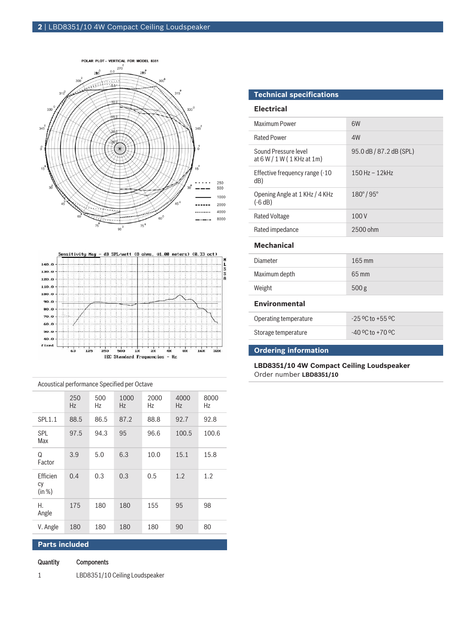



|                          | 250<br>Hz | 500<br>Ηz | 1000<br>Hz | 2000<br>Hz | 4000<br>Hz. | 8000<br>Hz |
|--------------------------|-----------|-----------|------------|------------|-------------|------------|
| <b>SPL1.1</b>            | 88.5      | 86.5      | 87.2       | 88.8       | 92.7        | 92.8       |
| <b>SPL</b><br>Max        | 97.5      | 94.3      | 95         | 96.6       | 100.5       | 100.6      |
| Q<br>Factor              | 3.9       | 5.0       | 6.3        | 10.0       | 15.1        | 15.8       |
| Efficien<br>CV<br>(in %) | 0.4       | 0.3       | 0.3        | 0.5        | 1.2         | 1.2        |
| Н.<br>Angle              | 175       | 180       | 180        | 155        | 95          | 98         |
| V. Angle                 | 180       | 180       | 180        | 180        | 90          | 80         |
| . .                      |           |           |            |            |             |            |

Acoustical performance Specified per Octave

## **Parts included**

- Quantity Components
- 1 LBD8351/10 Ceiling Loudspeaker

## **Technical specifications**

#### **Electrical**

| Maximum Power                                        | 6W                       |
|------------------------------------------------------|--------------------------|
| <b>Rated Power</b>                                   | 4W                       |
| Sound Pressure level<br>at $6 W / 1 W (1 KHz at 1m)$ | 95.0 dB / 87.2 dB (SPL)  |
| Effective frequency range (-10)<br>dB)               | $150$ Hz $- 12$ kHz      |
| Opening Angle at 1 KHz / 4 KHz<br>$(-6 dB)$          | $180^{\circ}/95^{\circ}$ |
| Rated Voltage                                        | 100V                     |
| Rated impedance                                      | 2500 ohm                 |
|                                                      |                          |

#### **Mechanical**

| Diameter      | $165 \,\mathrm{mm}$ |
|---------------|---------------------|
| Maximum depth | 65 mm               |
| Weight        | 500 <sub>g</sub>    |
|               |                     |

## **Environmental**

| Operating temperature | $-25$ °C to +55 °C |
|-----------------------|--------------------|
| Storage temperature   | $-40$ °C to +70 °C |

## **Ordering information**

**LBD8351/10 4W Compact Ceiling Loudspeaker** Order number **LBD8351/10**